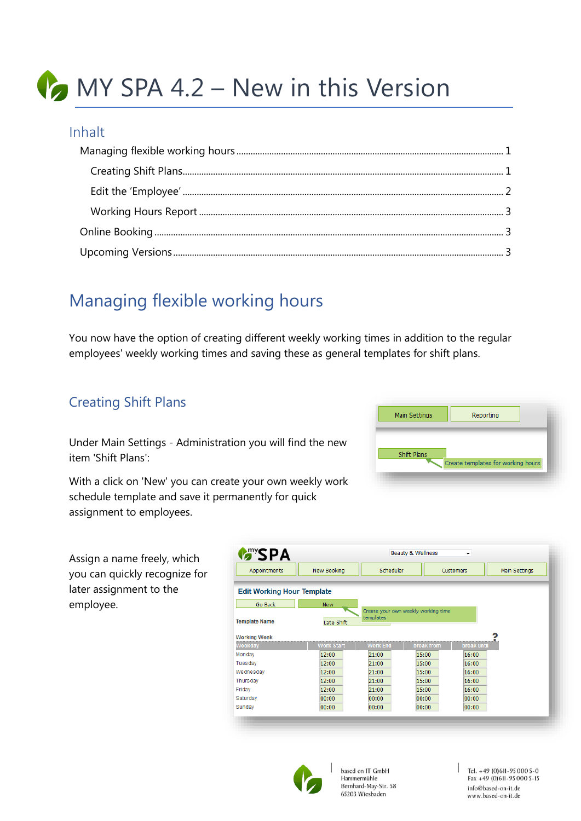# **MY SPA 4.2 – New in this Version**

#### Inhalt

### <span id="page-0-0"></span>Managing flexible working hours

You now have the option of creating different weekly working times in addition to the regular employees' weekly working times and saving these as general templates for shift plans.

#### <span id="page-0-1"></span>Creating Shift Plans

Under Main Settings - Administration you will find the new item 'Shift Plans':

With a click on 'New' you can create your own w schedule template and save it permanently for c assignment to employees.

**Template Name Working Week** Monday

Tuesday Wednesday

Thursday

Saturday

Sunday

Friday

Assign a name freely, which you can quickly recognize for later assignment to the employee.

| e your own weekly work<br>anently for quick |                   |                 |                                     |                    | Create templates for working nours |
|---------------------------------------------|-------------------|-----------------|-------------------------------------|--------------------|------------------------------------|
| <b>MANYSPA</b>                              |                   |                 | <b>Beauty &amp; Wellness</b>        | ٠                  |                                    |
| Appointments                                | New Booking       | Scheduler       |                                     | Customers          | Main Settings                      |
| <b>Edit Working Hour Template</b>           |                   |                 |                                     |                    |                                    |
| Go Back                                     | <b>New</b>        |                 |                                     |                    |                                    |
| <b>Template Name</b>                        | Late Shift        | templates       | Create your own weekly working time |                    |                                    |
| <b>Norking Week</b>                         |                   |                 |                                     |                    |                                    |
| Weekdav                                     | <b>Work Start</b> | <b>Work End</b> | break from                          | <b>break until</b> |                                    |
| Mondav                                      | 12:00             | 21:00           | 15:00                               | 16:00              |                                    |
| Tuesday                                     | 12:00             | 21:00           | 15:00                               | 16:00              |                                    |

 $15:00$ 

 $15:00$ 

15:00

00:00

00:00

 $16:00$ 

 $16:00$ 

16:00

00:00

00:00

Main Settings

Shift Plans

Reporting



 $12.00$ 

 $12:00$ 

12:00

 $00:00$ 

 $00:00$ 

based on IT GmbH Hammermühle Bernhard-May-Str. 58 65203 Wiesbaden

 $21:00$ 

 $21:00$ 

 $21:00$ 

00:00

00:00

Tel. +49 (0)611-95 000 5-0 Fax +49 (0) 611-95 000 5-15 info@based-on-it.de www.based-on-it.de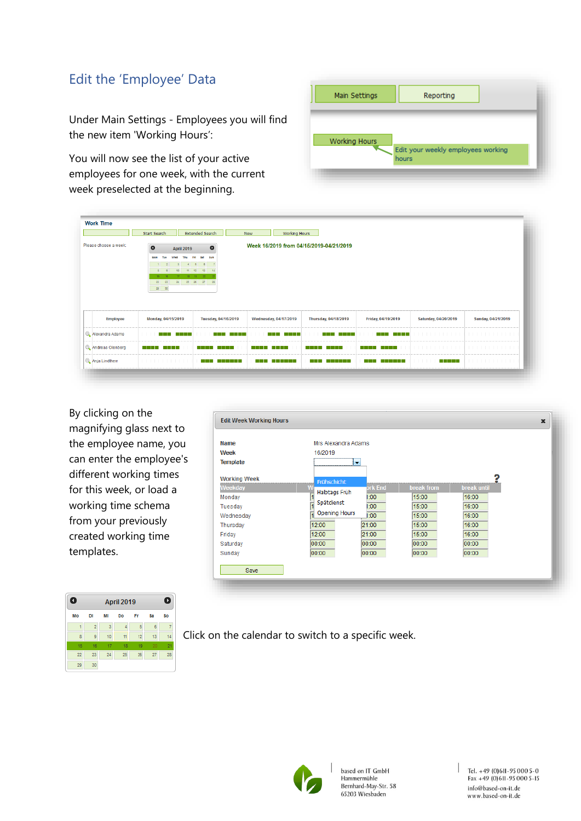### <span id="page-1-0"></span>Edit the 'Employee' Data

Under Main Settings - Employees you will find the new item 'Working Hours':

You will now see the list of your active employees for one week, with the current week preselected at the beginning.

| <b>Working Hours</b><br>Edit your weekly employees working<br>hours | Main Settings | Reporting |  |
|---------------------------------------------------------------------|---------------|-----------|--|
|                                                                     |               |           |  |
|                                                                     |               |           |  |

|                                     | Start Search                                                                                                                                                                     | <b>Extended Search</b>                                                       | <b>New</b><br><b>Working Hours</b>      |                           |                                                    |                      |                    |
|-------------------------------------|----------------------------------------------------------------------------------------------------------------------------------------------------------------------------------|------------------------------------------------------------------------------|-----------------------------------------|---------------------------|----------------------------------------------------|----------------------|--------------------|
| Please choose a week:               | $\bullet$<br><b>April 2019</b><br>Fri<br>Mon<br>Thu<br><b>Wild</b><br>$4$ 5<br>$\overline{2}$<br>10 <sup>1</sup><br>$+11$<br>$\circ$<br>$17-17$<br>$15-15$<br>$22\,$<br>23<br>24 | $\bullet$<br>Sat<br>sun<br>6<br>12<br>13<br>14<br>18 19 20<br>25 26 27<br>28 | Week 16/2019 from 04/15/2019-04/21/2019 |                           |                                                    |                      |                    |
|                                     | $\left 29\right  = \left 30\right $                                                                                                                                              |                                                                              |                                         |                           |                                                    |                      |                    |
| <b>Employee</b>                     | Monday, 04/15/2019                                                                                                                                                               | Tuesday, 04/16/2019                                                          | Wednesday, 04/17/2019                   | Thursday, 04/18/2019      | Friday, 04/19/2019                                 | Saturday, 04/20/2019 | Sunday, 04/21/2019 |
|                                     | a kata ing Pa<br>.                                                                                                                                                               | a se por el p<br>.                                                           | a kata<br>a kata                        | a kata<br>and the control | a kata ing Kabupatèn Kabupatèn Kabupatèn<br>a kata | .                    | .                  |
| Alexandra Adams<br>Andreas Olenberg | a kata sa Tanzania.                                                                                                                                                              | a shekara<br>a da bar                                                        |                                         |                           | <u> Timbul T</u><br><b>TIME</b>                    | .                    | .                  |

By clicking on the magnifying glass next to the employee name, you can enter the employee's different working times for this week, or load a working time schema from your previously created working time templates.

| Name                | Mrs Alexandra Adams  |                |                   |             |
|---------------------|----------------------|----------------|-------------------|-------------|
| Week                | 16/2019              |                |                   |             |
| <b>Template</b>     | ÷                    |                |                   |             |
| <b>Working Week</b> | Frühschicht          |                |                   |             |
| Weekday             | Halbtags Früh        | <b>prk End</b> | <b>break from</b> | break until |
| Monday              |                      | 1:00           | 15:00             | 16:00       |
| Tuesday             | Spätdienst           | 1:00           | 15:00             | 16:00       |
| Wednesday           | <b>Opening Hours</b> | 1:00           | 15:00             | 16:00       |
| Thursday            | 12:00                | 21:00          | 15:00             | 16:00       |
| Friday              | 12:00                | 21:00          | 15:00             | 16:00       |
| Saturday            | 00:00                | 00:00          | 00:00             | 00:00       |
| Sunday              | 00:00                | 00:00          | 00:00             | 00:00       |

| April 2019 |                |    |    |    |    |     |
|------------|----------------|----|----|----|----|-----|
| Mo         | <b>DI</b>      | MI | Do | Fr | Sa | \$o |
| f          | $\overline{2}$ | 3  | x  | 5  | 6  |     |
| 8          | 9              | 10 | 11 | 12 | 13 | 14  |
| 15         | 16             | 17 | 18 | 19 | 20 | 21  |
| 22         | 23             | 24 | 25 | 26 | 27 | 28  |
| 29         | 30             |    |    |    |    |     |

Click on the calendar to switch to a specific week.



based on IT GmbH Hammermühle Bernhard-May-Str. 58 65203 Wiesbaden